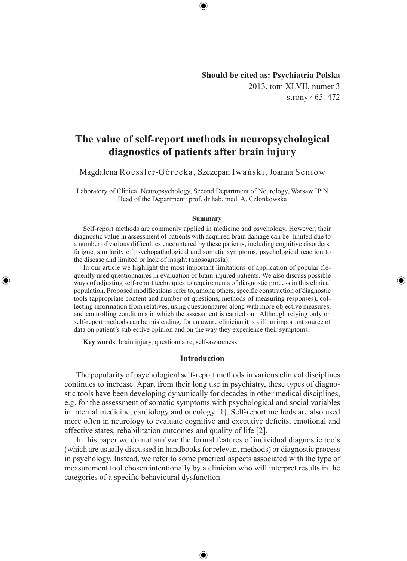**Should be cited as: Psychiatria Polska** 2013, tom XLVII, numer 3 strony 465–472

◈

# **The value of self-report methods in neuropsychological diagnostics of patients after brain injury**

Magdalena Roessler-Górecka, Szczepan Iwański, Joanna Seniów

Laboratory of Clinical Neuropsychology, Second Department of Neurology, Warsaw IPiN Head of the Department: prof. dr hab. med. A. Członkowska

#### **Summary**

Self-report methods are commonly applied in medicine and psychology. However, their diagnostic value in assessment of patients with acquired brain damage can be limited due to a number of various difficulties encountered by these patients, including cognitive disorders, fatigue, similarity of psychopathological and somatic symptoms, psychological reaction to the disease and limited or lack of insight (anosognosia).

In our article we highlight the most important limitations of application of popular frequently used questionnaires in evaluation of brain-injured patients. We also discuss possible ways of adjusting self-report techniques to requirements of diagnostic process in this clinical population. Proposed modifications refer to, among others, specific construction of diagnostic tools (appropriate content and number of questions, methods of measuring responses), collecting information from relatives, using questionnaires along with more objective measures, and controlling conditions in which the assessment is carried out. Although relying only on self-report methods can be misleading, for an aware clinician it is still an important source of data on patient's subjective opinion and on the way they experience their symptoms.

**Key word**s: brain injury, questionnaire, self-awareness

◈

#### **Introduction**

The popularity of psychological self-report methods in various clinical disciplines continues to increase. Apart from their long use in psychiatry, these types of diagnostic tools have been developing dynamically for decades in other medical disciplines, e.g. for the assessment of somatic symptoms with psychological and social variables in internal medicine, cardiology and oncology [1]. Self-report methods are also used more often in neurology to evaluate cognitive and executive deficits, emotional and affective states, rehabilitation outcomes and quality of life [2].

In this paper we do not analyze the formal features of individual diagnostic tools (which are usually discussed in handbooks for relevant methods) or diagnostic process in psychology. Instead, we refer to some practical aspects associated with the type of measurement tool chosen intentionally by a clinician who will interpret results in the categories of a specific behavioural dysfunction.

⊕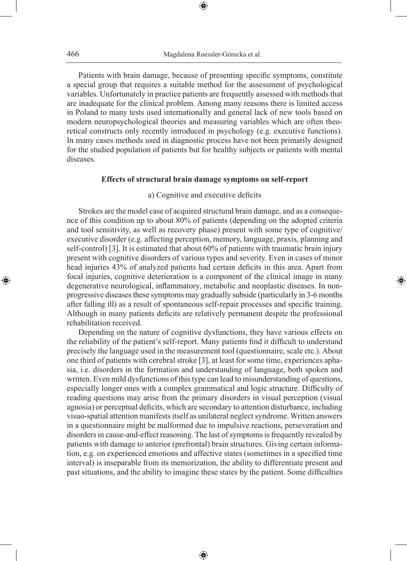⊕

Patients with brain damage, because of presenting specific symptoms, constitute a special group that requires a suitable method for the assessment of psychological variables. Unfortunately in practice patients are frequently assessed with methods that are inadequate for the clinical problem. Among many reasons there is limited access in Poland to many tests used internationally and general lack of new tools based on modern neuropsychological theories and measuring variables which are often theoretical constructs only recently introduced in psychology (e.g. executive functions). In many cases methods used in diagnostic process have not been primarily designed for the studied population of patients but for healthy subjects or patients with mental diseases.

#### **Effects of structural brain damage symptoms on self-report**

# a) Cognitive and executive deficits

Strokes are the model case of acquired structural brain damage, and as a consequence of this condition up to about 80% of patients (depending on the adopted criteria and tool sensitivity, as well as recovery phase) present with some type of cognitive/ executive disorder (e.g. affecting perception, memory, language, praxis, planning and self-control) [3]. It is estimated that about 60% of patients with traumatic brain injury present with cognitive disorders of various types and severity. Even in cases of minor head injuries 43% of analyzed patients had certain deficits in this area. Apart from focal injuries, cognitive deterioration is a component of the clinical image in many degenerative neurological, inflammatory, metabolic and neoplastic diseases. In nonprogressive diseases these symptoms may gradually subside (particularly in 3-6 months after falling ill) as a result of spontaneous self-repair processes and specific training. Although in many patients deficits are relatively permanent despite the professional rehabilitation received.

◈

Depending on the nature of cognitive dysfunctions, they have various effects on the reliability of the patient's self-report. Many patients find it difficult to understand precisely the language used in the measurement tool (questionnaire, scale etc.). About one third of patients with cerebral stroke [3], at least for some time, experiences aphasia, i.e. disorders in the formation and understanding of language, both spoken and written. Even mild dysfunctions of this type can lead to misunderstanding of questions, especially longer ones with a complex grammatical and logic structure. Difficulty of reading questions may arise from the primary disorders in visual perception (visual agnosia) or perceptual deficits, which are secondary to attention disturbance, including visuo-spatial attention manifests itself as unilateral neglect syndrome. Written answers in a questionnaire might be malformed due to impulsive reactions, perseveration and disorders in cause-and-effect reasoning. The last of symptoms is frequently revealed by patients with damage to anterior (prefrontal) brain structures. Giving certain information, e.g. on experienced emotions and affective states (sometimes in a specified time interval) is inseparable from its memorization, the ability to differentiate present and past situations, and the ability to imagine these states by the patient. Some difficulties

⊕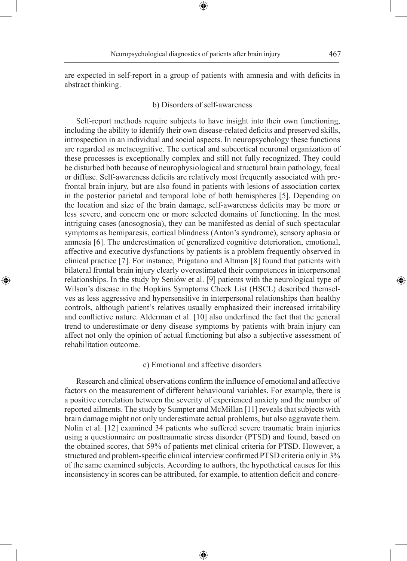are expected in self-report in a group of patients with amnesia and with deficits in abstract thinking.

⊕

### b) Disorders of self-awareness

Self-report methods require subjects to have insight into their own functioning, including the ability to identify their own disease-related deficits and preserved skills, introspection in an individual and social aspects. In neuropsychology these functions are regarded as metacognitive. The cortical and subcortical neuronal organization of these processes is exceptionally complex and still not fully recognized. They could be disturbed both because of neurophysiological and structural brain pathology, focal or diffuse. Self-awareness deficits are relatively most frequently associated with prefrontal brain injury, but are also found in patients with lesions of association cortex in the posterior parietal and temporal lobe of both hemispheres [5]. Depending on the location and size of the brain damage, self-awareness deficits may be more or less severe, and concern one or more selected domains of functioning. In the most intriguing cases (anosognosia), they can be manifested as denial of such spectacular symptoms as hemiparesis, cortical blindness (Anton's syndrome), sensory aphasia or amnesia [6]. The underestimation of generalized cognitive deterioration, emotional, affective and executive dysfunctions by patients is a problem frequently observed in clinical practice [7]. For instance, Prigatano and Altman [8] found that patients with bilateral frontal brain injury clearly overestimated their competences in interpersonal relationships. In the study by Seniów et al. [9] patients with the neurological type of Wilson's disease in the Hopkins Symptoms Check List (HSCL) described themselves as less aggressive and hypersensitive in interpersonal relationships than healthy controls, although patient's relatives usually emphasized their increased irritability and conflictive nature. Alderman et al. [10] also underlined the fact that the general trend to underestimate or deny disease symptoms by patients with brain injury can affect not only the opinion of actual functioning but also a subjective assessment of rehabilitation outcome.

◈

# c) Emotional and affective disorders

Research and clinical observations confirm the influence of emotional and affective factors on the measurement of different behavioural variables. For example, there is a positive correlation between the severity of experienced anxiety and the number of reported ailments. The study by Sumpter and McMillan [11] reveals that subjects with brain damage might not only underestimate actual problems, but also aggravate them. Nolin et al. [12] examined 34 patients who suffered severe traumatic brain injuries using a questionnaire on posttraumatic stress disorder (PTSD) and found, based on the obtained scores, that 59% of patients met clinical criteria for PTSD. However, a structured and problem-specific clinical interview confirmed PTSD criteria only in 3% of the same examined subjects. According to authors, the hypothetical causes for this inconsistency in scores can be attributed, for example, to attention deficit and concre-

⊕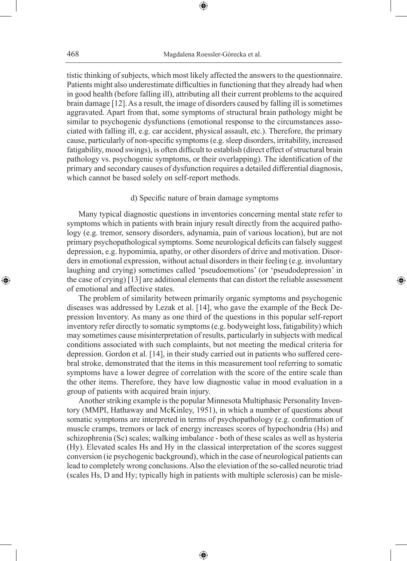⊕

tistic thinking of subjects, which most likely affected the answers to the questionnaire. Patients might also underestimate difficulties in functioning that they already had when in good health (before falling ill), attributing all their current problems to the acquired brain damage [12]. As a result, the image of disorders caused by falling ill is sometimes aggravated. Apart from that, some symptoms of structural brain pathology might be similar to psychogenic dysfunctions (emotional response to the circumstances associated with falling ill, e.g. car accident, physical assault, etc.). Therefore, the primary cause, particularly of non-specific symptoms (e.g. sleep disorders, irritability, increased fatigability, mood swings), is often difficult to establish (direct effect of structural brain pathology vs. psychogenic symptoms, or their overlapping). The identification of the primary and secondary causes of dysfunction requires a detailed differential diagnosis, which cannot be based solely on self-report methods.

# d) Specific nature of brain damage symptoms

Many typical diagnostic questions in inventories concerning mental state refer to symptoms which in patients with brain injury result directly from the acquired pathology (e.g. tremor, sensory disorders, adynamia, pain of various location), but are not primary psychopathological symptoms. Some neurological deficits can falsely suggest depression, e.g. hypomimia, apathy, or other disorders of drive and motivation. Disorders in emotional expression, without actual disorders in their feeling (e.g. involuntary laughing and crying) sometimes called 'pseudoemotions' (or 'pseudodepression' in the case of crying) [13] are additional elements that can distort the reliable assessment of emotional and affective states.

◈

The problem of similarity between primarily organic symptoms and psychogenic diseases was addressed by Lezak et al. [14], who gave the example of the Beck Depression Inventory. As many as one third of the questions in this popular self-report inventory refer directly to somatic symptoms (e.g. bodyweight loss, fatigability) which may sometimes cause misinterpretation of results, particularly in subjects with medical conditions associated with such complaints, but not meeting the medical criteria for depression. Gordon et al. [14], in their study carried out in patients who suffered cerebral stroke, demonstrated that the items in this measurement tool referring to somatic symptoms have a lower degree of correlation with the score of the entire scale than the other items. Therefore, they have low diagnostic value in mood evaluation in a group of patients with acquired brain injury.

Another striking example is the popular Minnesota Multiphasic Personality Inventory (MMPI, Hathaway and McKinley, 1951), in which a number of questions about somatic symptoms are interpreted in terms of psychopathology (e.g. confirmation of muscle cramps, tremors or lack of energy increases scores of hypochondria (Hs) and schizophrenia (Sc) scales; walking imbalance - both of these scales as well as hysteria (Hy). Elevated scales Hs and Hy in the classical interpretation of the scores suggest conversion (ie psychogenic background), which in the case of neurological patients can lead to completely wrong conclusions. Also the eleviation of the so-called neurotic triad (scales Hs, D and Hy; typically high in patients with multiple sclerosis) can be misle-

⊕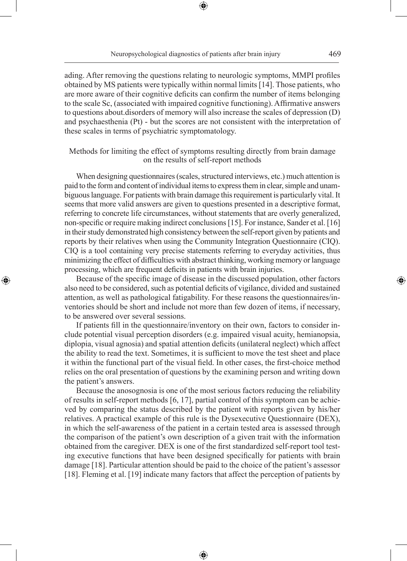Neuropsychological diagnostics of patients after brain injury 469

⊕

ading. After removing the questions relating to neurologic symptoms, MMPI profiles obtained by MS patients were typically within normal limits [14]. Those patients, who are more aware of their cognitive deficits can confirm the number of items belonging to the scale Sc, (associated with impaired cognitive functioning). Affirmative answers to questions about.disorders of memory will also increase the scales of depression (D) and psychaesthenia (Pt) - but the scores are not consistent with the interpretation of these scales in terms of psychiatric symptomatology.

# Methods for limiting the effect of symptoms resulting directly from brain damage on the results of self-report methods

When designing questionnaires (scales, structured interviews, etc.) much attention is paid to the form and content of individual items to express them in clear, simple and unambiguous language. For patients with brain damage this requirement is particularly vital. It seems that more valid answers are given to questions presented in a descriptive format, referring to concrete life circumstances, without statements that are overly generalized, non-specific or require making indirect conclusions [15]. For instance, Sander et al. [16] in their study demonstrated high consistency between the self-report given by patients and reports by their relatives when using the Community Integration Questionnaire (CIQ). CIQ is a tool containing very precise statements referring to everyday activities, thus minimizing the effect of difficulties with abstract thinking, working memory or language processing, which are frequent deficits in patients with brain injuries.

Because of the specific image of disease in the discussed population, other factors also need to be considered, such as potential deficits of vigilance, divided and sustained attention, as well as pathological fatigability. For these reasons the questionnaires/inventories should be short and include not more than few dozen of items, if necessary, to be answered over several sessions.

◈

If patients fill in the questionnaire/inventory on their own, factors to consider include potential visual perception disorders (e.g. impaired visual acuity, hemianopsia, diplopia, visual agnosia) and spatial attention deficits (unilateral neglect) which affect the ability to read the text. Sometimes, it is sufficient to move the test sheet and place it within the functional part of the visual field. In other cases, the first-choice method relies on the oral presentation of questions by the examining person and writing down the patient's answers.

Because the anosognosia is one of the most serious factors reducing the reliability of results in self-report methods [6, 17], partial control of this symptom can be achieved by comparing the status described by the patient with reports given by his/her relatives. A practical example of this rule is the Dysexecutive Questionnaire (DEX), in which the self-awareness of the patient in a certain tested area is assessed through the comparison of the patient's own description of a given trait with the information obtained from the caregiver. DEX is one of the first standardized self-report tool testing executive functions that have been designed specifically for patients with brain damage [18]. Particular attention should be paid to the choice of the patient's assessor [18]. Fleming et al. [19] indicate many factors that affect the perception of patients by

⊕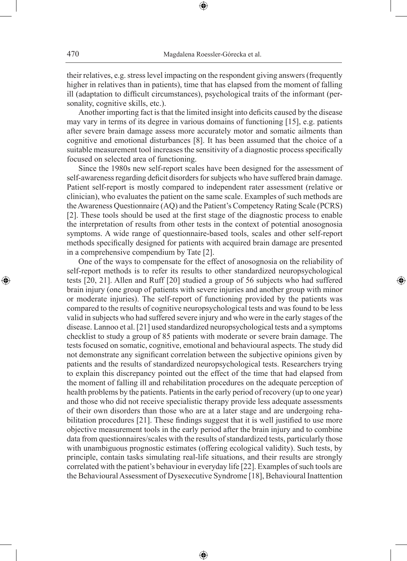their relatives, e.g. stress level impacting on the respondent giving answers (frequently higher in relatives than in patients), time that has elapsed from the moment of falling ill (adaptation to difficult circumstances), psychological traits of the informant (personality, cognitive skills, etc.).

⊕

Another importing fact is that the limited insight into deficits caused by the disease may vary in terms of its degree in various domains of functioning [15], e.g. patients after severe brain damage assess more accurately motor and somatic ailments than cognitive and emotional disturbances [8]. It has been assumed that the choice of a suitable measurement tool increases the sensitivity of a diagnostic process specifically focused on selected area of functioning.

Since the 1980s new self-report scales have been designed for the assessment of self-awareness regarding deficit disorders for subjects who have suffered brain damage. Patient self-report is mostly compared to independent rater assessment (relative or clinician), who evaluates the patient on the same scale. Examples of such methods are the Awareness Questionnaire (AQ) and the Patient's Competency Rating Scale (PCRS) [2]. These tools should be used at the first stage of the diagnostic process to enable the interpretation of results from other tests in the context of potential anosognosia symptoms. A wide range of questionnaire-based tools, scales and other self-report methods specifically designed for patients with acquired brain damage are presented in a comprehensive compendium by Tate [2].

◈

One of the ways to compensate for the effect of anosognosia on the reliability of self-report methods is to refer its results to other standardized neuropsychological tests [20, 21]. Allen and Ruff [20] studied a group of 56 subjects who had suffered brain injury (one group of patients with severe injuries and another group with minor or moderate injuries). The self-report of functioning provided by the patients was compared to the results of cognitive neuropsychological tests and was found to be less valid in subjects who had suffered severe injury and who were in the early stages of the disease. Lannoo et al. [21] used standardized neuropsychological tests and a symptoms checklist to study a group of 85 patients with moderate or severe brain damage. The tests focused on somatic, cognitive, emotional and behavioural aspects. The study did not demonstrate any significant correlation between the subjective opinions given by patients and the results of standardized neuropsychological tests. Researchers trying to explain this discrepancy pointed out the effect of the time that had elapsed from the moment of falling ill and rehabilitation procedures on the adequate perception of health problems by the patients. Patients in the early period of recovery (up to one year) and those who did not receive specialistic therapy provide less adequate assessments of their own disorders than those who are at a later stage and are undergoing rehabilitation procedures [21]. These findings suggest that it is well justified to use more objective measurement tools in the early period after the brain injury and to combine data from questionnaires/scales with the results of standardized tests, particularly those with unambiguous prognostic estimates (offering ecological validity). Such tests, by principle, contain tasks simulating real-life situations, and their results are strongly correlated with the patient's behaviour in everyday life [22]. Examples of such tools are the Behavioural Assessment of Dysexecutive Syndrome [18], Behavioural Inattention

⊕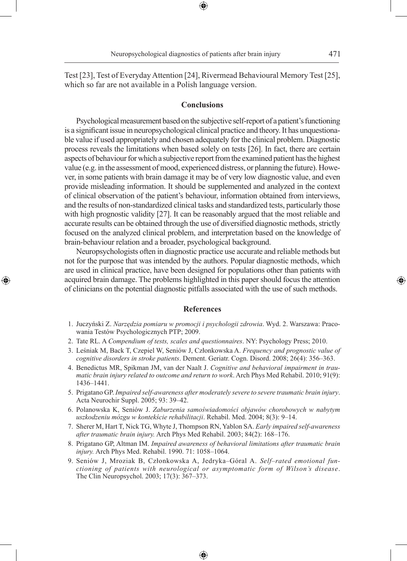Test [23], Test of Everyday Attention [24], Rivermead Behavioural Memory Test [25], which so far are not available in a Polish language version.

#### **Conclusions**

Psychological measurement based on the subjective self-report of a patient's functioning is a significant issue in neuropsychological clinical practice and theory. It has unquestionable value if used appropriately and chosen adequately for the clinical problem. Diagnostic process reveals the limitations when based solely on tests [26]. In fact, there are certain aspects of behaviour for which a subjective report from the examined patient has the highest value (e.g. in the assessment of mood, experienced distress, or planning the future). However, in some patients with brain damage it may be of very low diagnostic value, and even provide misleading information. It should be supplemented and analyzed in the context of clinical observation of the patient's behaviour, information obtained from interviews, and the results of non-standardized clinical tasks and standardized tests, particularly those with high prognostic validity [27]. It can be reasonably argued that the most reliable and accurate results can be obtained through the use of diversified diagnostic methods, strictly focused on the analyzed clinical problem, and interpretation based on the knowledge of brain-behaviour relation and a broader, psychological background.

Neuropsychologists often in diagnostic practice use accurate and reliable methods but not for the purpose that was intended by the authors. Popular diagnostic methods, which are used in clinical practice, have been designed for populations other than patients with acquired brain damage. The problems highlighted in this paper should focus the attention of clinicians on the potential diagnostic pitfalls associated with the use of such methods.

◈

#### **References**

- 1. Juczyński Z. *Narzędzia pomiaru w promocji i psychologii zdrowia*. Wyd. 2. Warszawa: Pracowania Testów Psychologicznych PTP; 2009.
- 2. Tate RL. A *Compendium of tests, scales and questionnaires*. NY: Psychology Press; 2010.
- 3. Leśniak M, Back T, Czepiel W, Seniów J, Członkowska A. *Frequency and prognostic value of cognitive disorders in stroke patients*. Dement. Geriatr. Cogn. Disord. 2008; 26(4): 356–363.
- 4. Benedictus MR, Spikman JM, van der Naalt J. *Cognitive and behavioral impairment in traumatic brain injury related to outcome and return to work*. Arch Phys Med Rehabil. 2010; 91(9): 1436–1441.
- 5. Prigatano GP. *Impaired self-awareness after moderately severe to severe traumatic brain injury*. Acta Neurochir Suppl. 2005; 93: 39–42.
- 6. Polanowska K, Seniów J. *Zaburzenia samoświadomości objawów chorobowych w nabytym uszkodzeniu mózgu w kontekście rehabilitacji*. Rehabil. Med. 2004; 8(3): 9–14.
- 7. Sherer M, Hart T, Nick TG, Whyte J, Thompson RN, Yablon SA. *Early impaired self-awareness after traumatic brain injury.* Arch Phys Med Rehabil. 2003; 84(2): 168–176.
- 8. Prigatano GP, Altman IM. *Impaired awareness of behavioral limitations after traumatic brain injury.* Arch Phys Med. Rehabil. 1990. 71: 1058–1064.
- 9. Seniów J, Mroziak B, Członkowska A, Jedryka–Góral A. *Self–rated emotional functioning of patients with neurological or asymptomatic form of Wilson's disease*. The Clin Neuropsychol. 2003; 17(3): 367–373.

♠